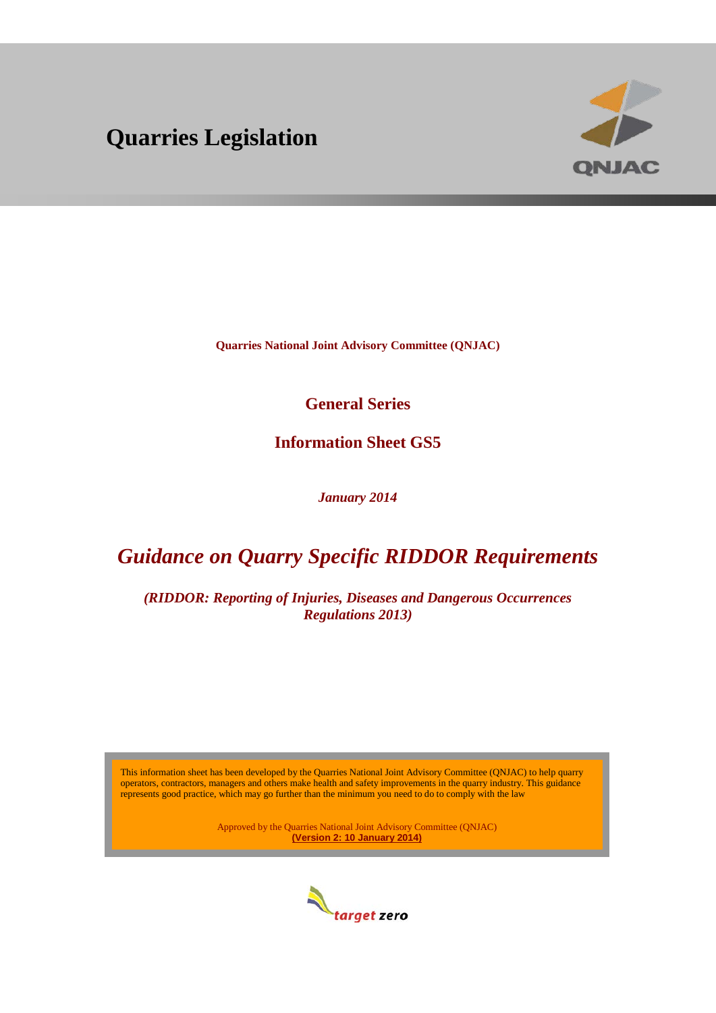# **Quarries Legislation**



**Quarries National Joint Advisory Committee (QNJAC)**

**General Series**

**Information Sheet GS5**

*January 2014*

## *Guidance on Quarry Specific RIDDOR Requirements*

*(RIDDOR: Reporting of Injuries, Diseases and Dangerous Occurrences Regulations 2013)*

This information sheet has been developed by the Quarries National Joint Advisory Committee (QNJAC) to help quarry operators, contractors, managers and others make health and safety improvements in the quarry industry. This guidance represents good practice, which may go further than the minimum you need to do to comply with the law

> Approved by the Quarries National Joint Advisory Committee (QNJAC) **(Version 2: 10 January 2014)**

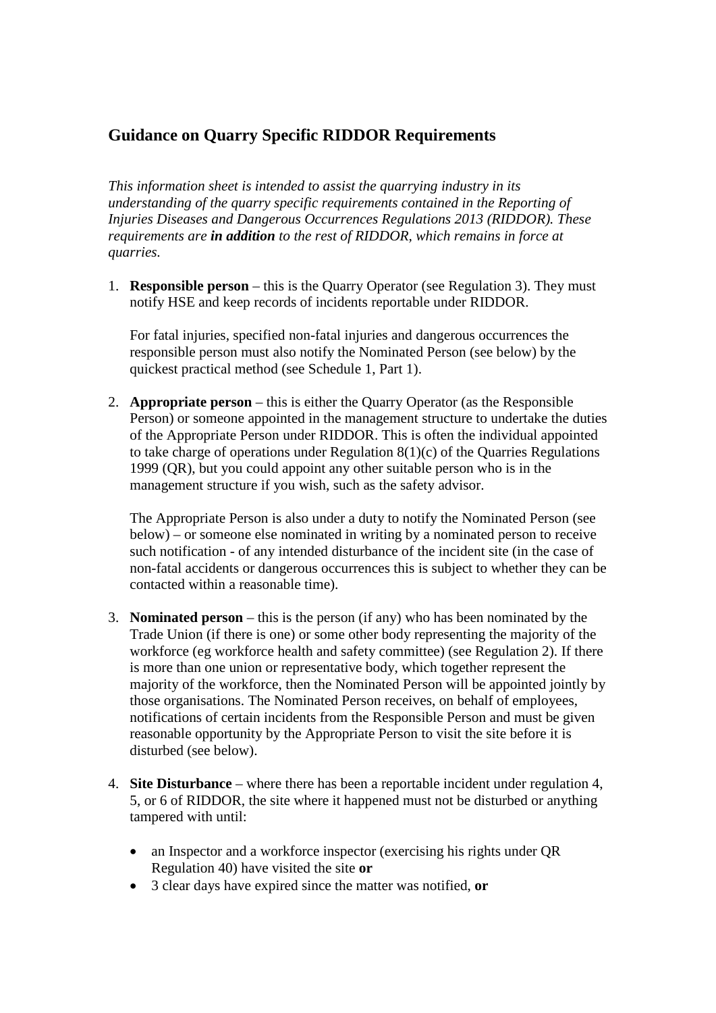## **Guidance on Quarry Specific RIDDOR Requirements**

*This information sheet is intended to assist the quarrying industry in its understanding of the quarry specific requirements contained in the Reporting of Injuries Diseases and Dangerous Occurrences Regulations 2013 (RIDDOR). These requirements are in addition to the rest of RIDDOR, which remains in force at quarries.*

1. **Responsible person** – this is the Quarry Operator (see Regulation 3). They must notify HSE and keep records of incidents reportable under RIDDOR.

For fatal injuries, specified non-fatal injuries and dangerous occurrences the responsible person must also notify the Nominated Person (see below) by the quickest practical method (see Schedule 1, Part 1).

2. **Appropriate person** – this is either the Quarry Operator (as the Responsible Person) or someone appointed in the management structure to undertake the duties of the Appropriate Person under RIDDOR. This is often the individual appointed to take charge of operations under Regulation 8(1)(c) of the Quarries Regulations 1999 (QR), but you could appoint any other suitable person who is in the management structure if you wish, such as the safety advisor.

The Appropriate Person is also under a duty to notify the Nominated Person (see below) – or someone else nominated in writing by a nominated person to receive such notification - of any intended disturbance of the incident site (in the case of non-fatal accidents or dangerous occurrences this is subject to whether they can be contacted within a reasonable time).

- 3. **Nominated person** this is the person (if any) who has been nominated by the Trade Union (if there is one) or some other body representing the majority of the workforce (eg workforce health and safety committee) (see Regulation 2). If there is more than one union or representative body, which together represent the majority of the workforce, then the Nominated Person will be appointed jointly by those organisations. The Nominated Person receives, on behalf of employees, notifications of certain incidents from the Responsible Person and must be given reasonable opportunity by the Appropriate Person to visit the site before it is disturbed (see below).
- 4. **Site Disturbance**  where there has been a reportable incident under regulation 4, 5, or 6 of RIDDOR, the site where it happened must not be disturbed or anything tampered with until:
	- an Inspector and a workforce inspector (exercising his rights under QR Regulation 40) have visited the site **or**
	- 3 clear days have expired since the matter was notified, **or**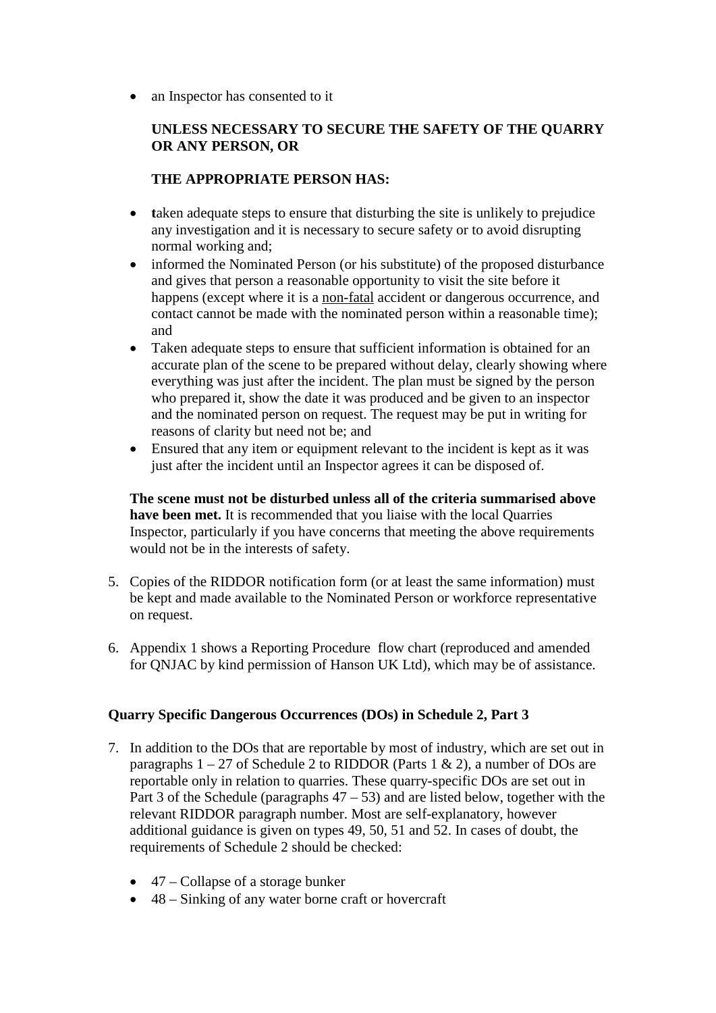• an Inspector has consented to it

### **UNLESS NECESSARY TO SECURE THE SAFETY OF THE QUARRY OR ANY PERSON, OR**

### **THE APPROPRIATE PERSON HAS:**

- **taken adequate steps to ensure that disturbing the site is unlikely to prejudice** any investigation and it is necessary to secure safety or to avoid disrupting normal working and;
- informed the Nominated Person (or his substitute) of the proposed disturbance and gives that person a reasonable opportunity to visit the site before it happens (except where it is a non-fatal accident or dangerous occurrence, and contact cannot be made with the nominated person within a reasonable time); and
- Taken adequate steps to ensure that sufficient information is obtained for an accurate plan of the scene to be prepared without delay, clearly showing where everything was just after the incident. The plan must be signed by the person who prepared it, show the date it was produced and be given to an inspector and the nominated person on request. The request may be put in writing for reasons of clarity but need not be; and
- Ensured that any item or equipment relevant to the incident is kept as it was just after the incident until an Inspector agrees it can be disposed of.

**The scene must not be disturbed unless all of the criteria summarised above have been met.** It is recommended that you liaise with the local Quarries Inspector, particularly if you have concerns that meeting the above requirements would not be in the interests of safety.

- 5. Copies of the RIDDOR notification form (or at least the same information) must be kept and made available to the Nominated Person or workforce representative on request.
- 6. Appendix 1 shows a Reporting Procedure flow chart (reproduced and amended for QNJAC by kind permission of Hanson UK Ltd), which may be of assistance.

### **Quarry Specific Dangerous Occurrences (DOs) in Schedule 2, Part 3**

- 7. In addition to the DOs that are reportable by most of industry, which are set out in paragraphs  $1 - 27$  of Schedule 2 to RIDDOR (Parts 1 & 2), a number of DOs are reportable only in relation to quarries. These quarry-specific DOs are set out in Part 3 of the Schedule (paragraphs  $47 - 53$ ) and are listed below, together with the relevant RIDDOR paragraph number. Most are self-explanatory, however additional guidance is given on types 49, 50, 51 and 52. In cases of doubt, the requirements of Schedule 2 should be checked:
	- $\bullet$  47 Collapse of a storage bunker
	- 48 Sinking of any water borne craft or hovercraft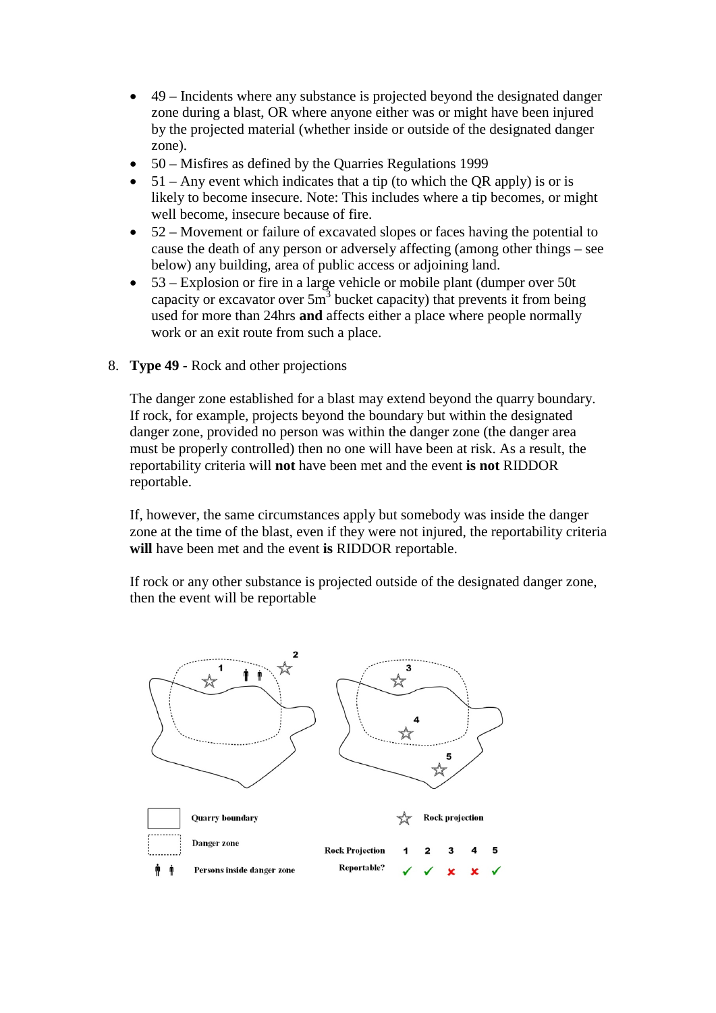- 49 Incidents where any substance is projected beyond the designated danger zone during a blast, OR where anyone either was or might have been injured by the projected material (whether inside or outside of the designated danger zone).
- 50 Misfires as defined by the Quarries Regulations 1999
- $51 Any event which indicates that a tip (to which the OR apply) is or is$ likely to become insecure. Note: This includes where a tip becomes, or might well become, insecure because of fire.
- 52 Movement or failure of excavated slopes or faces having the potential to cause the death of any person or adversely affecting (among other things – see below) any building, area of public access or adjoining land.
- 53 Explosion or fire in a large vehicle or mobile plant (dumper over 50t capacity or excavator over  $5m<sup>3</sup>$  bucket capacity) that prevents it from being used for more than 24hrs **and** affects either a place where people normally work or an exit route from such a place.
- 8. **Type 49 -** Rock and other projections

The danger zone established for a blast may extend beyond the quarry boundary. If rock, for example, projects beyond the boundary but within the designated danger zone, provided no person was within the danger zone (the danger area must be properly controlled) then no one will have been at risk. As a result, the reportability criteria will **not** have been met and the event **is not** RIDDOR reportable.

If, however, the same circumstances apply but somebody was inside the danger zone at the time of the blast, even if they were not injured, the reportability criteria **will** have been met and the event **is** RIDDOR reportable.

If rock or any other substance is projected outside of the designated danger zone, then the event will be reportable

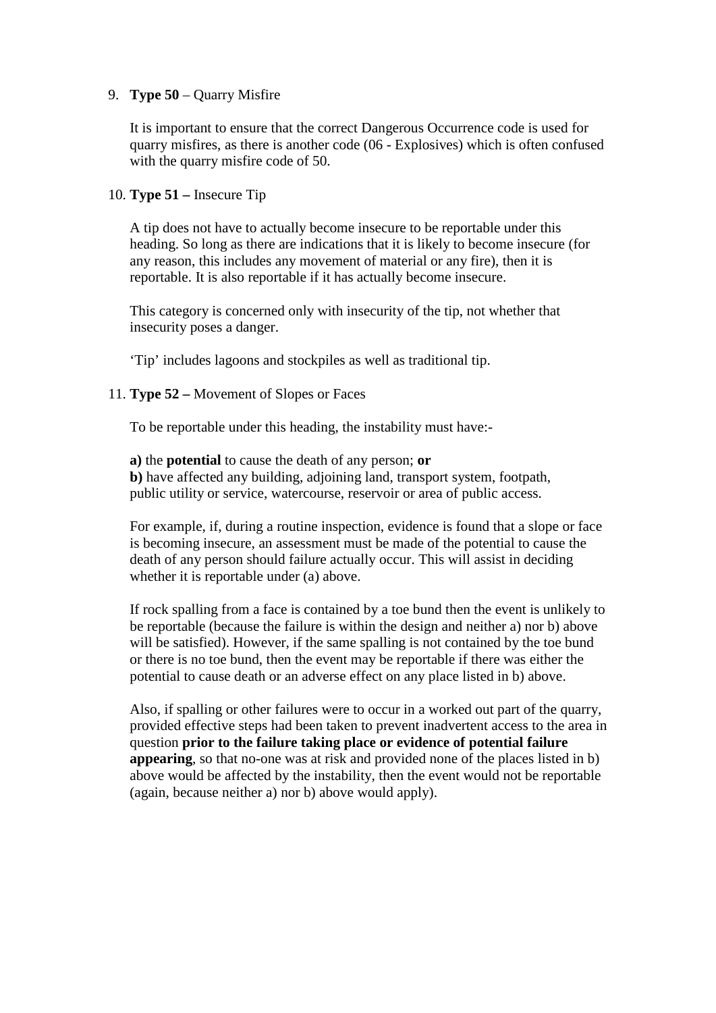#### 9. **Type 50** – Quarry Misfire

It is important to ensure that the correct Dangerous Occurrence code is used for quarry misfires, as there is another code (06 - Explosives) which is often confused with the quarry misfire code of 50.

10. **Type 51 –** Insecure Tip

A tip does not have to actually become insecure to be reportable under this heading. So long as there are indications that it is likely to become insecure (for any reason, this includes any movement of material or any fire), then it is reportable. It is also reportable if it has actually become insecure.

This category is concerned only with insecurity of the tip, not whether that insecurity poses a danger.

'Tip' includes lagoons and stockpiles as well as traditional tip.

#### 11. **Type 52 –** Movement of Slopes or Faces

To be reportable under this heading, the instability must have:-

**a)** the **potential** to cause the death of any person; **or b)** have affected any building, adjoining land, transport system, footpath, public utility or service, watercourse, reservoir or area of public access.

For example, if, during a routine inspection, evidence is found that a slope or face is becoming insecure, an assessment must be made of the potential to cause the death of any person should failure actually occur. This will assist in deciding whether it is reportable under (a) above.

If rock spalling from a face is contained by a toe bund then the event is unlikely to be reportable (because the failure is within the design and neither a) nor b) above will be satisfied). However, if the same spalling is not contained by the toe bund or there is no toe bund, then the event may be reportable if there was either the potential to cause death or an adverse effect on any place listed in b) above.

Also, if spalling or other failures were to occur in a worked out part of the quarry, provided effective steps had been taken to prevent inadvertent access to the area in question **prior to the failure taking place or evidence of potential failure appearing**, so that no-one was at risk and provided none of the places listed in b) above would be affected by the instability, then the event would not be reportable (again, because neither a) nor b) above would apply).